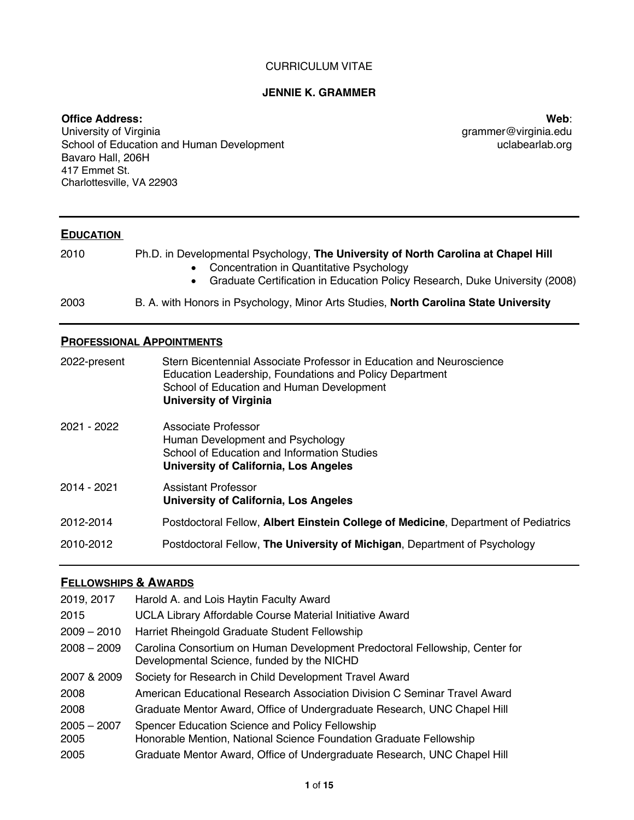#### CURRICULUM VITAE

# **JENNIE K. GRAMMER**

### **Office Address:**

University of Virginia School of Education and Human Development Bavaro Hall, 206H 417 Emmet St. Charlottesville, VA 22903

**Web**: grammer@virginia.edu uclabearlab.org

# **EDUCATION**

| 2010 | Ph.D. in Developmental Psychology, The University of North Carolina at Chapel Hill<br>Concentration in Quantitative Psychology<br>Graduate Certification in Education Policy Research, Duke University (2008) |
|------|---------------------------------------------------------------------------------------------------------------------------------------------------------------------------------------------------------------|
| 2003 | B. A. with Honors in Psychology, Minor Arts Studies, North Carolina State University                                                                                                                          |

# **PROFESSIONAL APPOINTMENTS**

| 2022-present | Stern Bicentennial Associate Professor in Education and Neuroscience<br>Education Leadership, Foundations and Policy Department<br>School of Education and Human Development<br><b>University of Virginia</b> |
|--------------|---------------------------------------------------------------------------------------------------------------------------------------------------------------------------------------------------------------|
| 2021 - 2022  | Associate Professor<br>Human Development and Psychology<br>School of Education and Information Studies<br>University of California, Los Angeles                                                               |
| 2014 - 2021  | Assistant Professor<br><b>University of California, Los Angeles</b>                                                                                                                                           |
| 2012-2014    | Postdoctoral Fellow, Albert Einstein College of Medicine, Department of Pediatrics                                                                                                                            |
| 2010-2012    | Postdoctoral Fellow, The University of Michigan, Department of Psychology                                                                                                                                     |

# **FELLOWSHIPS & AWARDS**

| 2019, 2017            | Harold A. and Lois Haytin Faculty Award                                                                                   |
|-----------------------|---------------------------------------------------------------------------------------------------------------------------|
| 2015                  | UCLA Library Affordable Course Material Initiative Award                                                                  |
| $2009 - 2010$         | Harriet Rheingold Graduate Student Fellowship                                                                             |
| $2008 - 2009$         | Carolina Consortium on Human Development Predoctoral Fellowship, Center for<br>Developmental Science, funded by the NICHD |
| 2007 & 2009           | Society for Research in Child Development Travel Award                                                                    |
| 2008                  | American Educational Research Association Division C Seminar Travel Award                                                 |
| 2008                  | Graduate Mentor Award, Office of Undergraduate Research, UNC Chapel Hill                                                  |
| $2005 - 2007$<br>2005 | Spencer Education Science and Policy Fellowship<br>Honorable Mention, National Science Foundation Graduate Fellowship     |
| 2005                  | Graduate Mentor Award, Office of Undergraduate Research, UNC Chapel Hill                                                  |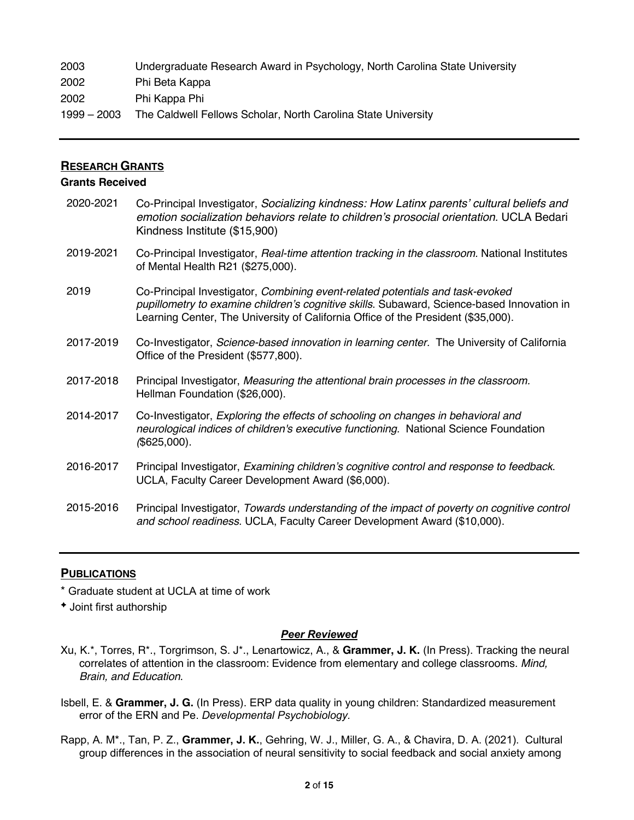2003 Undergraduate Research Award in Psychology, North Carolina State University 2002 Phi Beta Kappa 2002 Phi Kappa Phi 1999 – 2003 The Caldwell Fellows Scholar, North Carolina State University

# **RESEARCH GRANTS**

# **Grants Received**

2020-2021 Co-Principal Investigator, *Socializing kindness: How Latinx parents' cultural beliefs and emotion socialization behaviors relate to children's prosocial orientation.* UCLA Bedari Kindness Institute (\$15,900) 2019-2021 Co-Principal Investigator, *Real-time attention tracking in the classroom.* National Institutes of Mental Health R21 (\$275,000). 2019 Co-Principal Investigator, *Combining event-related potentials and task-evoked pupillometry to examine children's cognitive skills*. Subaward, Science-based Innovation in Learning Center, The University of California Office of the President (\$35,000). 2017-2019 Co-Investigator, *Science*‐*based innovation in learning center.* The University of California Office of the President (\$577,800). 2017-2018 Principal Investigator, *Measuring the attentional brain processes in the classroom.* Hellman Foundation (\$26,000). 2014-2017 Co-Investigator, *Exploring the effects of schooling on changes in behavioral and neurological indices of children's executive functioning.* National Science Foundation *(*\$625,000). 2016-2017 Principal Investigator, *Examining children's cognitive control and response to feedback*. UCLA, Faculty Career Development Award (\$6,000). 2015-2016 Principal Investigator, *Towards understanding of the impact of poverty on cognitive control and school readiness*. UCLA, Faculty Career Development Award (\$10,000).

# **PUBLICATIONS**

\* Graduate student at UCLA at time of work

<sup>è</sup> Joint first authorship

## *Peer Reviewed*

- Xu, K.\*, Torres, R\*., Torgrimson, S. J\*., Lenartowicz, A., & **Grammer, J. K.** (In Press). Tracking the neural correlates of attention in the classroom: Evidence from elementary and college classrooms. *Mind, Brain, and Education*.
- Isbell, E. & **Grammer, J. G.** (In Press). ERP data quality in young children: Standardized measurement error of the ERN and Pe. *Developmental Psychobiology.*
- Rapp, A. M\*., Tan, P. Z., **Grammer, J. K.**, Gehring, W. J., Miller, G. A., & Chavira, D. A. (2021). Cultural group differences in the association of neural sensitivity to social feedback and social anxiety among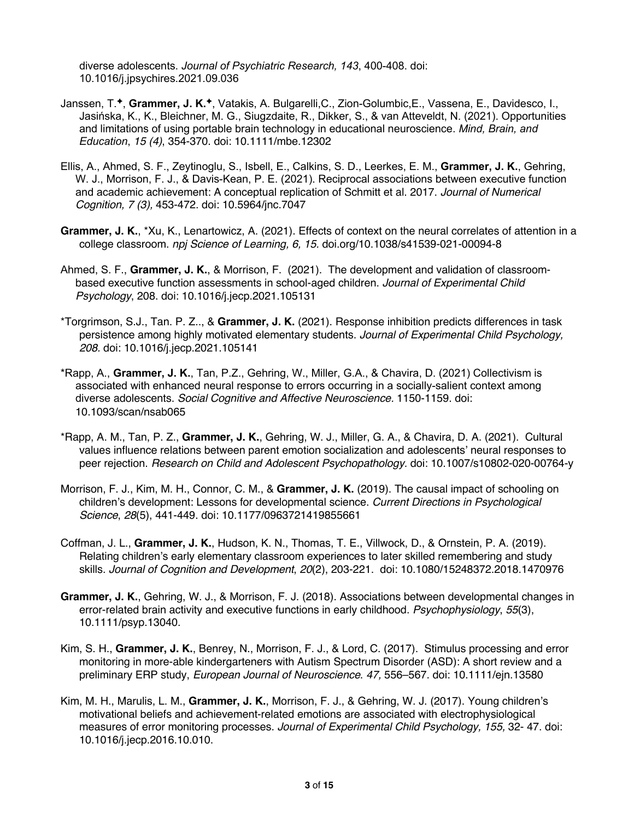diverse adolescents. *Journal of Psychiatric Research, 143*, 400-408. doi: 10.1016/j.jpsychires.2021.09.036

- Janssen, T.<sup>\*</sup>, Grammer, J. K.<sup>\*</sup>, Vatakis, A. Bulgarelli, C., Zion-Golumbic, E., Vassena, E., Davidesco, I., Jasińska, K., K., Bleichner, M. G., Siugzdaite, R., Dikker, S., & van Atteveldt, N. (2021). Opportunities and limitations of using portable brain technology in educational neuroscience. *Mind, Brain, and Education*, *15 (4)*, 354-370. doi: 10.1111/mbe.12302
- Ellis, A., Ahmed, S. F., Zeytinoglu, S., Isbell, E., Calkins, S. D., Leerkes, E. M., **Grammer, J. K.**, Gehring, W. J., Morrison, F. J., & Davis-Kean, P. E. (2021). Reciprocal associations between executive function and academic achievement: A conceptual replication of Schmitt et al. 2017. *Journal of Numerical Cognition, 7 (3),* 453-472. doi: 10.5964/jnc.7047
- **Grammer, J. K.**, \*Xu, K., Lenartowicz, A. (2021). Effects of context on the neural correlates of attention in a college classroom. *npj Science of Learning, 6, 15.* doi.org/10.1038/s41539-021-00094-8
- Ahmed, S. F., **Grammer, J. K.**, & Morrison, F. (2021). The development and validation of classroombased executive function assessments in school-aged children. *Journal of Experimental Child Psychology*, 208. doi: 10.1016/j.jecp.2021.105131
- \*Torgrimson, S.J., Tan. P. Z.., & **Grammer, J. K.** (2021). Response inhibition predicts differences in task persistence among highly motivated elementary students. *Journal of Experimental Child Psychology, 208.* doi: 10.1016/j.jecp.2021.105141
- \*Rapp, A., **Grammer, J. K.**, Tan, P.Z., Gehring, W., Miller, G.A., & Chavira, D. (2021) Collectivism is associated with enhanced neural response to errors occurring in a socially-salient context among diverse adolescents. *Social Cognitive and Affective Neuroscience.* 1150-1159. doi: 10.1093/scan/nsab065
- \*Rapp, A. M., Tan, P. Z., **Grammer, J. K.**, Gehring, W. J., Miller, G. A., & Chavira, D. A. (2021). Cultural values influence relations between parent emotion socialization and adolescents' neural responses to peer rejection. *Research on Child and Adolescent Psychopathology.* doi: 10.1007/s10802-020-00764-y
- Morrison, F. J., Kim, M. H., Connor, C. M., & **Grammer, J. K.** (2019). The causal impact of schooling on children's development: Lessons for developmental science. *Current Directions in Psychological Science*, *28*(5), 441-449. doi: 10.1177/0963721419855661
- Coffman, J. L., **Grammer, J. K.**, Hudson, K. N., Thomas, T. E., Villwock, D., & Ornstein, P. A. (2019). Relating children's early elementary classroom experiences to later skilled remembering and study skills. *Journal of Cognition and Development*, *20*(2), 203-221. doi: 10.1080/15248372.2018.1470976
- **Grammer, J. K.**, Gehring, W. J., & Morrison, F. J. (2018). Associations between developmental changes in error‐related brain activity and executive functions in early childhood. *Psychophysiology*, *55*(3), 10.1111/psyp.13040.
- Kim, S. H., **Grammer, J. K.**, Benrey, N., Morrison, F. J., & Lord, C. (2017). Stimulus processing and error monitoring in more-able kindergarteners with Autism Spectrum Disorder (ASD): A short review and a preliminary ERP study, *European Journal of Neuroscience*. *47,* 556–567. doi: 10.1111/ejn.13580
- Kim, M. H., Marulis, L. M., **Grammer, J. K.**, Morrison, F. J., & Gehring, W. J. (2017). Young children's motivational beliefs and achievement-related emotions are associated with electrophysiological measures of error monitoring processes. *Journal of Experimental Child Psychology, 155,* 32- 47. doi: 10.1016/j.jecp.2016.10.010.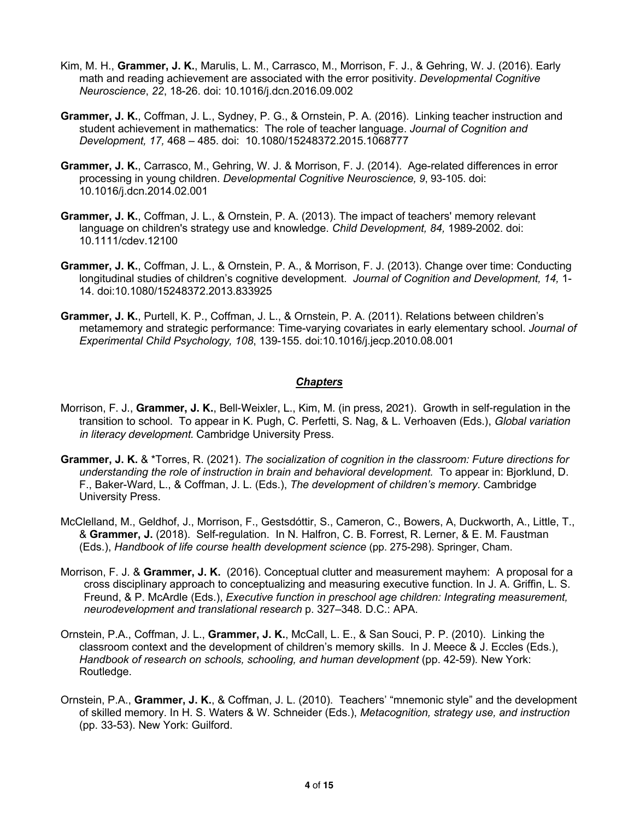- Kim, M. H., **Grammer, J. K.**, Marulis, L. M., Carrasco, M., Morrison, F. J., & Gehring, W. J. (2016). Early math and reading achievement are associated with the error positivity. *Developmental Cognitive Neuroscience*, *22*, 18-26. doi: 10.1016/j.dcn.2016.09.002
- **Grammer, J. K.**, Coffman, J. L., Sydney, P. G., & Ornstein, P. A. (2016). Linking teacher instruction and student achievement in mathematics: The role of teacher language. *Journal of Cognition and Development, 17,* 468 – 485. doi: 10.1080/15248372.2015.1068777
- **Grammer, J. K.**, Carrasco, M., Gehring, W. J. & Morrison, F. J. (2014). Age-related differences in error processing in young children. *Developmental Cognitive Neuroscience, 9*, 93-105. doi: 10.1016/j.dcn.2014.02.001
- **Grammer, J. K.**, Coffman, J. L., & Ornstein, P. A. (2013). The impact of teachers' memory relevant language on children's strategy use and knowledge. *Child Development, 84,* 1989-2002. doi: 10.1111/cdev.12100
- **Grammer, J. K.**, Coffman, J. L., & Ornstein, P. A., & Morrison, F. J. (2013). Change over time: Conducting longitudinal studies of children's cognitive development. *Journal of Cognition and Development, 14,* 1- 14. doi:10.1080/15248372.2013.833925
- **Grammer, J. K.**, Purtell, K. P., Coffman, J. L., & Ornstein, P. A. (2011). Relations between children's metamemory and strategic performance: Time-varying covariates in early elementary school. *Journal of Experimental Child Psychology, 108*, 139-155. doi:10.1016/j.jecp.2010.08.001

#### *Chapters*

- Morrison, F. J., **Grammer, J. K.**, Bell-Weixler, L., Kim, M. (in press, 2021). Growth in self-regulation in the transition to school. To appear in K. Pugh, C. Perfetti, S. Nag, & L. Verhoaven (Eds.), *Global variation in literacy development.* Cambridge University Press.
- **Grammer, J. K.** & \*Torres, R. (2021). *The socialization of cognition in the classroom: Future directions for understanding the role of instruction in brain and behavioral development.* To appear in: Bjorklund, D. F., Baker-Ward, L., & Coffman, J. L. (Eds.), *The development of children's memory*. Cambridge University Press.
- McClelland, M., Geldhof, J., Morrison, F., Gestsdóttir, S., Cameron, C., Bowers, A, Duckworth, A., Little, T., & **Grammer, J.** (2018). Self-regulation. In N. Halfron, C. B. Forrest, R. Lerner, & E. M. Faustman (Eds.), *Handbook of life course health development science* (pp. 275-298). Springer, Cham.
- Morrison, F. J. & **Grammer, J. K.** (2016). Conceptual clutter and measurement mayhem: A proposal for a cross disciplinary approach to conceptualizing and measuring executive function. In J. A. Griffin, L. S. Freund, & P. McArdle (Eds.), *Executive function in preschool age children: Integrating measurement, neurodevelopment and translational research* p. 327–348*.* D.C.: APA.
- Ornstein, P.A., Coffman, J. L., **Grammer, J. K.**, McCall, L. E., & San Souci, P. P. (2010). Linking the classroom context and the development of children's memory skills. In J. Meece & J. Eccles (Eds.), *Handbook of research on schools, schooling, and human development (pp. 42-59). New York:* Routledge.
- Ornstein, P.A., **Grammer, J. K.**, & Coffman, J. L. (2010). Teachers' "mnemonic style" and the development of skilled memory. In H. S. Waters & W. Schneider (Eds.), *Metacognition, strategy use, and instruction*  (pp. 33-53). New York: Guilford.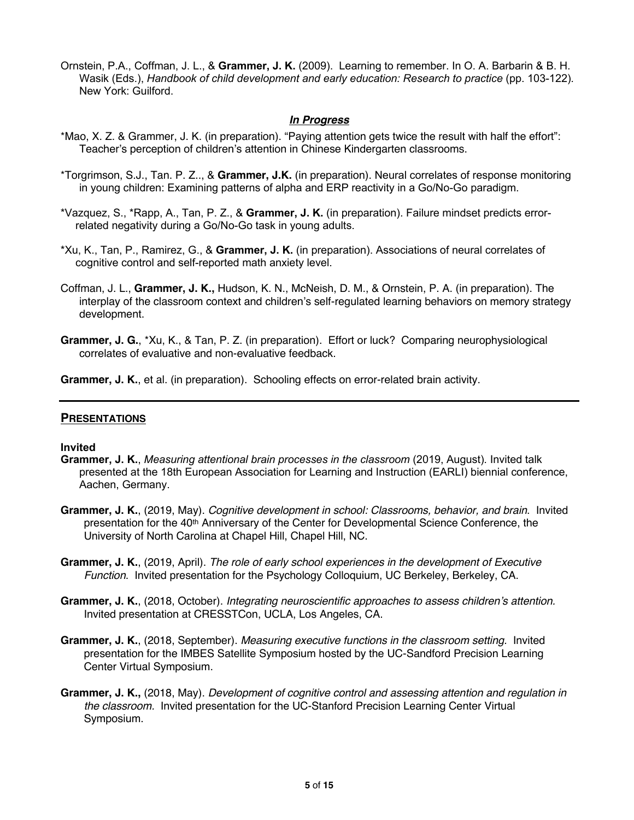Ornstein, P.A., Coffman, J. L., & **Grammer, J. K.** (2009). Learning to remember. In O. A. Barbarin & B. H. Wasik (Eds.), *Handbook of child development and early education: Research to practice (pp. 103-122).* New York: Guilford.

# *In Progress*

- \*Mao, X. Z. & Grammer, J. K. (in preparation). "Paying attention gets twice the result with half the effort": Teacher's perception of children's attention in Chinese Kindergarten classrooms.
- \*Torgrimson, S.J., Tan. P. Z.., & **Grammer, J.K.** (in preparation). Neural correlates of response monitoring in young children: Examining patterns of alpha and ERP reactivity in a Go/No-Go paradigm.
- \*Vazquez, S., \*Rapp, A., Tan, P. Z., & **Grammer, J. K.** (in preparation). Failure mindset predicts errorrelated negativity during a Go/No-Go task in young adults.
- \*Xu, K., Tan, P., Ramirez, G., & **Grammer, J. K.** (in preparation). Associations of neural correlates of cognitive control and self-reported math anxiety level.
- Coffman, J. L., **Grammer, J. K.,** Hudson, K. N., McNeish, D. M., & Ornstein, P. A. (in preparation). The interplay of the classroom context and children's self-regulated learning behaviors on memory strategy development.
- **Grammer, J. G.**, \*Xu, K., & Tan, P. Z. (in preparation). Effort or luck? Comparing neurophysiological correlates of evaluative and non-evaluative feedback.
- **Grammer, J. K.**, et al. (in preparation). Schooling effects on error-related brain activity.

## **PRESENTATIONS**

#### **Invited**

- **Grammer, J. K.**, *Measuring attentional brain processes in the classroom* (2019, August)*.* Invited talk presented at the 18th European Association for Learning and Instruction (EARLI) biennial conference, Aachen, Germany.
- **Grammer, J. K.**, (2019, May). *Cognitive development in school: Classrooms, behavior, and brain*. Invited presentation for the 40th Anniversary of the Center for Developmental Science Conference, the University of North Carolina at Chapel Hill, Chapel Hill, NC.
- **Grammer, J. K.**, (2019, April). *The role of early school experiences in the development of Executive Function*. Invited presentation for the Psychology Colloquium, UC Berkeley, Berkeley, CA.
- **Grammer, J. K.**, (2018, October). *Integrating neuroscientific approaches to assess children's attention.* Invited presentation at CRESSTCon, UCLA, Los Angeles, CA.
- **Grammer, J. K.**, (2018, September). *Measuring executive functions in the classroom setting.* Invited presentation for the IMBES Satellite Symposium hosted by the UC-Sandford Precision Learning Center Virtual Symposium.
- **Grammer, J. K.,** (2018, May). *Development of cognitive control and assessing attention and regulation in the classroom.* Invited presentation for the UC-Stanford Precision Learning Center Virtual Symposium.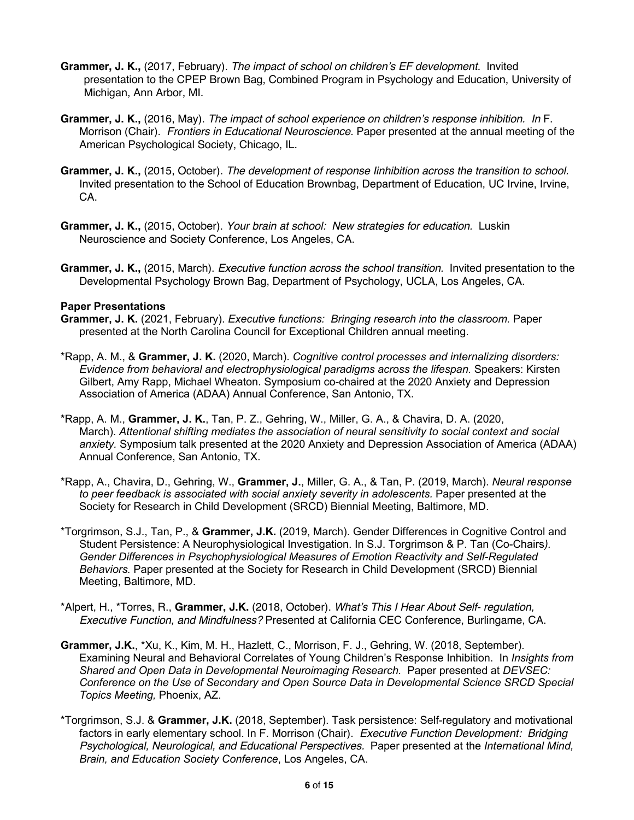- **Grammer, J. K.,** (2017, February). *The impact of school on children's EF development.* Invited presentation to the CPEP Brown Bag, Combined Program in Psychology and Education, University of Michigan, Ann Arbor, MI.
- **Grammer, J. K.,** (2016, May). *The impact of school experience on children's response inhibition. In* F. Morrison (Chair). *Frontiers in Educational Neuroscience.* Paper presented at the annual meeting of the American Psychological Society, Chicago, IL.
- **Grammer, J. K.,** (2015, October). *The development of response Iinhibition across the transition to school.* Invited presentation to the School of Education Brownbag, Department of Education, UC Irvine, Irvine, CA.
- **Grammer, J. K.,** (2015, October). *Your brain at school: New strategies for education.* Luskin Neuroscience and Society Conference, Los Angeles, CA.
- **Grammer, J. K.,** (2015, March). *Executive function across the school transition.* Invited presentation to the Developmental Psychology Brown Bag, Department of Psychology, UCLA, Los Angeles, CA.

#### **Paper Presentations**

- **Grammer, J. K.** (2021, February). *Executive functions: Bringing research into the classroom.* Paper presented at the North Carolina Council for Exceptional Children annual meeting.
- \*Rapp, A. M., & **Grammer, J. K.** (2020, March). *Cognitive control processes and internalizing disorders: Evidence from behavioral and electrophysiological paradigms across the lifespan.* Speakers: Kirsten Gilbert, Amy Rapp, Michael Wheaton. Symposium co-chaired at the 2020 Anxiety and Depression Association of America (ADAA) Annual Conference, San Antonio, TX.
- \*Rapp, A. M., **Grammer, J. K.**, Tan, P. Z., Gehring, W., Miller, G. A., & Chavira, D. A. (2020, March). *Attentional shifting mediates the association of neural sensitivity to social context and social anxiety.* Symposium talk presented at the 2020 Anxiety and Depression Association of America (ADAA) Annual Conference, San Antonio, TX.
- \*Rapp, A., Chavira, D., Gehring, W., **Grammer, J.**, Miller, G. A., & Tan, P. (2019, March). *Neural response*  to peer feedback is associated with social anxiety severity in adolescents. Paper presented at the Society for Research in Child Development (SRCD) Biennial Meeting, Baltimore, MD.
- \*Torgrimson, S.J., Tan, P., & **Grammer, J.K.** (2019, March). Gender Differences in Cognitive Control and Student Persistence: A Neurophysiological Investigation. In S.J. Torgrimson & P. Tan (Co-Chairs*). Gender Differences in Psychophysiological Measures of Emotion Reactivity and Self-Regulated Behaviors.* Paper presented at the Society for Research in Child Development (SRCD) Biennial Meeting, Baltimore, MD.
- \*Alpert, H., \*Torres, R., **Grammer, J.K.** (2018, October). *What's This I Hear About Self- regulation, Executive Function, and Mindfulness?* Presented at California CEC Conference, Burlingame, CA.
- **Grammer, J.K.**, \*Xu, K., Kim, M. H., Hazlett, C., Morrison, F. J., Gehring, W. (2018, September). Examining Neural and Behavioral Correlates of Young Children's Response Inhibition. In *Insights from Shared and Open Data in Developmental Neuroimaging Research.* Paper presented at *DEVSEC: Conference on the Use of Secondary and Open Source Data in Developmental Science SRCD Special Topics Meeting,* Phoenix, AZ.
- \*Torgrimson, S.J. & **Grammer, J.K.** (2018, September). Task persistence: Self-regulatory and motivational factors in early elementary school. In F. Morrison (Chair). *Executive Function Development: Bridging Psychological, Neurological, and Educational Perspectives.* Paper presented at the *International Mind, Brain, and Education Society Conference*, Los Angeles, CA.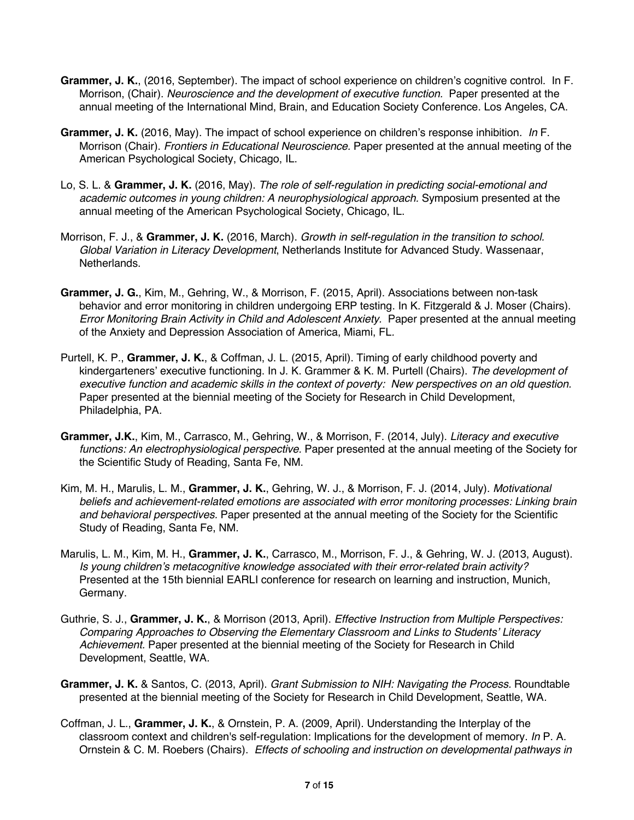- **Grammer, J. K.**, (2016, September). The impact of school experience on children's cognitive control. In F. Morrison, (Chair). *Neuroscience and the development of executive function.* Paper presented at the annual meeting of the International Mind, Brain, and Education Society Conference. Los Angeles, CA.
- **Grammer, J. K.** (2016, May). The impact of school experience on children's response inhibition*. In* F. Morrison (Chair). *Frontiers in Educational Neuroscience.* Paper presented at the annual meeting of the American Psychological Society, Chicago, IL.
- Lo, S. L. & **Grammer, J. K.** (2016, May). *The role of self-regulation in predicting social-emotional and academic outcomes in young children: A neurophysiological approach.* Symposium presented at the annual meeting of the American Psychological Society, Chicago, IL.
- Morrison, F. J., & **Grammer, J. K.** (2016, March). *Growth in self-regulation in the transition to school. Global Variation in Literacy Development*, Netherlands Institute for Advanced Study. Wassenaar, Netherlands.
- **Grammer, J. G.**, Kim, M., Gehring, W., & Morrison, F. (2015, April). Associations between non-task behavior and error monitoring in children undergoing ERP testing. In K. Fitzgerald & J. Moser (Chairs). *Error Monitoring Brain Activity in Child and Adolescent Anxiety.* Paper presented at the annual meeting of the Anxiety and Depression Association of America, Miami, FL*.*
- Purtell, K. P., **Grammer, J. K.**, & Coffman, J. L. (2015, April). Timing of early childhood poverty and kindergarteners' executive functioning. In J. K. Grammer & K. M. Purtell (Chairs). *The development of executive function and academic skills in the context of poverty: New perspectives on an old question.* Paper presented at the biennial meeting of the Society for Research in Child Development, Philadelphia, PA*.*
- **Grammer, J.K.**, Kim, M., Carrasco, M., Gehring, W., & Morrison, F. (2014, July). *Literacy and executive functions: An electrophysiological perspective.* Paper presented at the annual meeting of the Society for the Scientific Study of Reading, Santa Fe, NM.
- Kim, M. H., Marulis, L. M., **Grammer, J. K.**, Gehring, W. J., & Morrison, F. J. (2014, July). *Motivational beliefs and achievement-related emotions are associated with error monitoring processes: Linking brain and behavioral perspectives.* Paper presented at the annual meeting of the Society for the Scientific Study of Reading, Santa Fe, NM.
- Marulis, L. M., Kim, M. H., **Grammer, J. K.**, Carrasco, M., Morrison, F. J., & Gehring, W. J. (2013, August). *Is young children's metacognitive knowledge associated with their error-related brain activity?* Presented at the 15th biennial EARLI conference for research on learning and instruction, Munich, Germany.
- Guthrie, S. J., **Grammer, J. K.**, & Morrison (2013, April). *Effective Instruction from Multiple Perspectives: Comparing Approaches to Observing the Elementary Classroom and Links to Students' Literacy Achievement.* Paper presented at the biennial meeting of the Society for Research in Child Development, Seattle, WA*.*
- **Grammer, J. K.** & Santos, C. (2013, April). *Grant Submission to NIH: Navigating the Process.* Roundtable presented at the biennial meeting of the Society for Research in Child Development, Seattle, WA*.*
- Coffman, J. L., **Grammer, J. K.**, & Ornstein, P. A. (2009, April). Understanding the Interplay of the classroom context and children's self-regulation: Implications for the development of memory. *In* P. A. Ornstein & C. M. Roebers (Chairs). *Effects of schooling and instruction on developmental pathways in*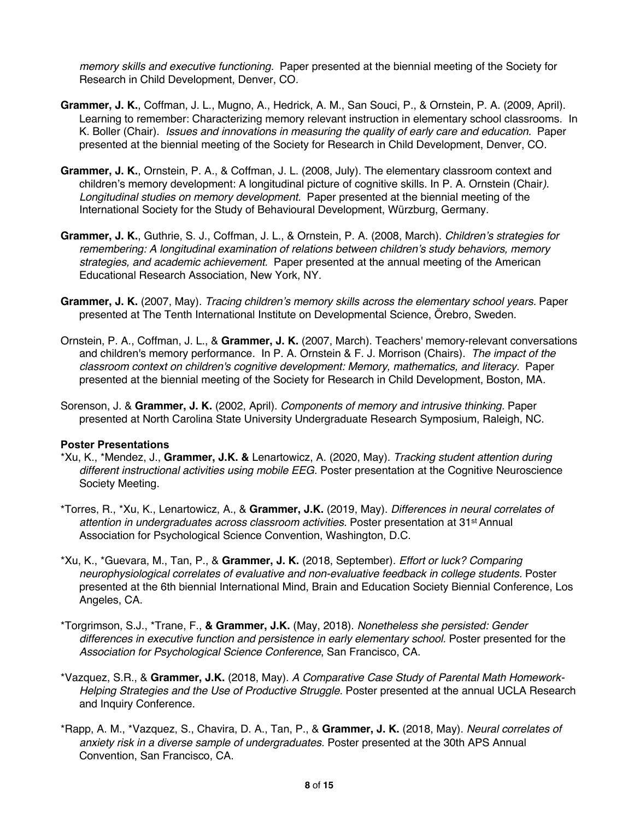*memory skills and executive functioning.* Paper presented at the biennial meeting of the Society for Research in Child Development, Denver, CO*.* 

- **Grammer, J. K.**, Coffman, J. L., Mugno, A., Hedrick, A. M., San Souci, P., & Ornstein, P. A. (2009, April). Learning to remember: Characterizing memory relevant instruction in elementary school classrooms. In K. Boller (Chair). *Issues and innovations in measuring the quality of early care and education.* Paper presented at the biennial meeting of the Society for Research in Child Development, Denver, CO*.*
- **Grammer, J. K.**, Ornstein, P. A., & Coffman, J. L. (2008, July). The elementary classroom context and children's memory development: A longitudinal picture of cognitive skills*.* In P. A. Ornstein (Chair*). Longitudinal studies on memory development.* Paper presented at the biennial meeting of the International Society for the Study of Behavioural Development, Würzburg, Germany*.*
- **Grammer, J. K.**, Guthrie, S. J., Coffman, J. L., & Ornstein, P. A. (2008, March). *Children's strategies for remembering: A longitudinal examination of relations between children's study behaviors, memory strategies, and academic achievement.* Paper presented at the annual meeting of the American Educational Research Association, New York, NY.
- **Grammer, J. K.** (2007, May). *Tracing children's memory skills across the elementary school years.* Paper presented at The Tenth International Institute on Developmental Science, Örebro, Sweden.
- Ornstein, P. A., Coffman, J. L., & **Grammer, J. K.** (2007, March). Teachers' memory-relevant conversations and children's memory performance. In P. A. Ornstein & F. J. Morrison (Chairs). *The impact of the classroom context on children's cognitive development: Memory, mathematics, and literacy.* Paper presented at the biennial meeting of the Society for Research in Child Development, Boston, MA*.*
- Sorenson, J. & **Grammer, J. K.** (2002, April). *Components of memory and intrusive thinking.* Paper presented at North Carolina State University Undergraduate Research Symposium, Raleigh, NC.

## **Poster Presentations**

- \*Xu, K., \*Mendez, J., **Grammer, J.K. &** Lenartowicz, A. (2020, May). *Tracking student attention during different instructional activities using mobile EEG.* Poster presentation at the Cognitive Neuroscience Society Meeting.
- \*Torres, R., \*Xu, K., Lenartowicz, A., & **Grammer, J.K.** (2019, May). *Differences in neural correlates of attention in undergraduates across classroom activities.* Poster presentation at 31st Annual Association for Psychological Science Convention, Washington, D.C.
- \*Xu, K., \*Guevara, M., Tan, P., & **Grammer, J. K.** (2018, September). *Effort or luck? Comparing neurophysiological correlates of evaluative and non-evaluative feedback in college students.* Poster presented at the 6th biennial International Mind, Brain and Education Society Biennial Conference, Los Angeles, CA.
- \*Torgrimson, S.J., \*Trane, F., **& Grammer, J.K.** (May, 2018). *Nonetheless she persisted: Gender differences in executive function and persistence in early elementary school.* Poster presented for the *Association for Psychological Science Conference*, San Francisco, CA.
- \*Vazquez, S.R., & **Grammer, J.K.** (2018, May). *A Comparative Case Study of Parental Math Homework-Helping Strategies and the Use of Productive Struggle.* Poster presented at the annual UCLA Research and Inquiry Conference.
- \*Rapp, A. M., \*Vazquez, S., Chavira, D. A., Tan, P., & **Grammer, J. K.** (2018, May). *Neural correlates of anxiety risk in a diverse sample of undergraduates.* Poster presented at the 30th APS Annual Convention, San Francisco, CA.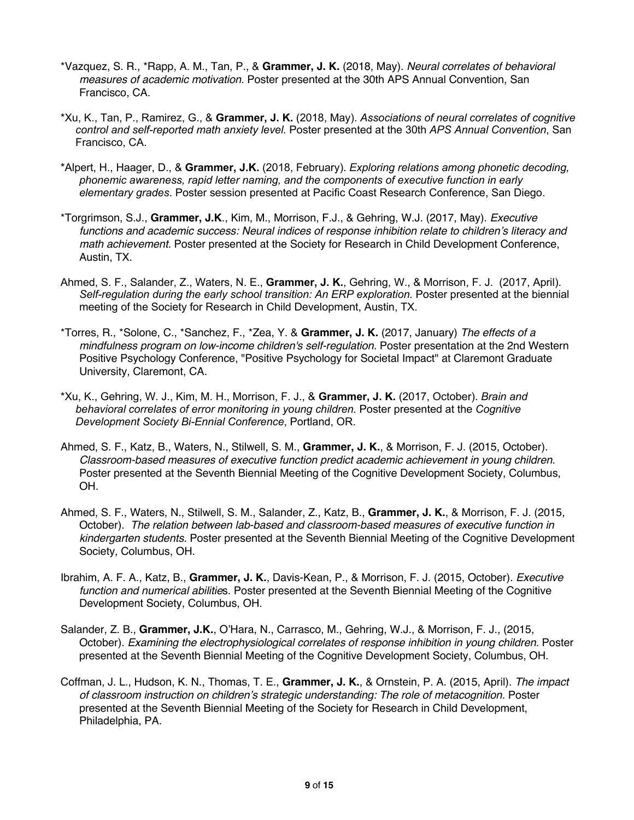- \*Vazquez, S. R., \*Rapp, A. M., Tan, P., & **Grammer, J. K.** (2018, May). *Neural correlates of behavioral measures of academic motivation.* Poster presented at the 30th APS Annual Convention, San Francisco, CA.
- \*Xu, K., Tan, P., Ramirez, G., & **Grammer, J. K.** (2018, May). *Associations of neural correlates of cognitive control and self-reported math anxiety level.* Poster presented at the 30th *APS Annual Convention*, San Francisco, CA.
- \*Alpert, H., Haager, D., & **Grammer, J.K.** (2018, February). *Exploring relations among phonetic decoding, phonemic awareness, rapid letter naming, and the components of executive function in early elementary grades*. Poster session presented at Pacific Coast Research Conference, San Diego.
- \*Torgrimson, S.J., **Grammer, J.K**., Kim, M., Morrison, F.J., & Gehring, W.J. (2017, May). *Executive functions and academic success: Neural indices of response inhibition relate to children's literacy and math achievement.* Poster presented at the Society for Research in Child Development Conference, Austin, TX.
- Ahmed, S. F., Salander, Z., Waters, N. E., **Grammer, J. K.**, Gehring, W., & Morrison, F. J. (2017, April). *Self-regulation during the early school transition: An ERP exploration.* Poster presented at the biennial meeting of the Society for Research in Child Development, Austin, TX.
- \*Torres, R., \*Solone, C., \*Sanchez, F., \*Zea, Y. & **Grammer, J. K.** (2017, January) *The effects of a mindfulness program on low-income children's self-regulation.* Poster presentation at the 2nd Western Positive Psychology Conference, "Positive Psychology for Societal Impact" at Claremont Graduate University, Claremont, CA.
- \*Xu, K., Gehring, W. J., Kim, M. H., Morrison, F. J., & **Grammer, J. K.** (2017, October). *Brain and behavioral correlates of error monitoring in young children.* Poster presented at the *Cognitive Development Society Bi-Ennial Conference*, Portland, OR.
- Ahmed, S. F., Katz, B., Waters, N., Stilwell, S. M., **Grammer, J. K.**, & Morrison, F. J. (2015, October). *Classroom-based measures of executive function predict academic achievement in young children.* Poster presented at the Seventh Biennial Meeting of the Cognitive Development Society, Columbus, OH.
- Ahmed, S. F., Waters, N., Stilwell, S. M., Salander, Z., Katz, B., **Grammer, J. K.**, & Morrison, F. J. (2015, October). *The relation between lab-based and classroom-based measures of executive function in kindergarten students.* Poster presented at the Seventh Biennial Meeting of the Cognitive Development Society, Columbus, OH.
- Ibrahim, A. F. A., Katz, B., **Grammer, J. K.**, Davis-Kean, P., & Morrison, F. J. (2015, October)*. Executive function and numerical abilitie*s. Poster presented at the Seventh Biennial Meeting of the Cognitive Development Society, Columbus, OH.
- Salander, Z. B., **Grammer, J.K.**, O'Hara, N., Carrasco, M., Gehring, W.J., & Morrison, F. J., (2015, October). *Examining the electrophysiological correlates of response inhibition in young children.* Poster presented at the Seventh Biennial Meeting of the Cognitive Development Society, Columbus, OH.
- Coffman, J. L., Hudson, K. N., Thomas, T. E., **Grammer, J. K.**, & Ornstein, P. A. (2015, April). *The impact of classroom instruction on children's strategic understanding: The role of metacognition*. Poster presented at the Seventh Biennial Meeting of the Society for Research in Child Development, Philadelphia, PA.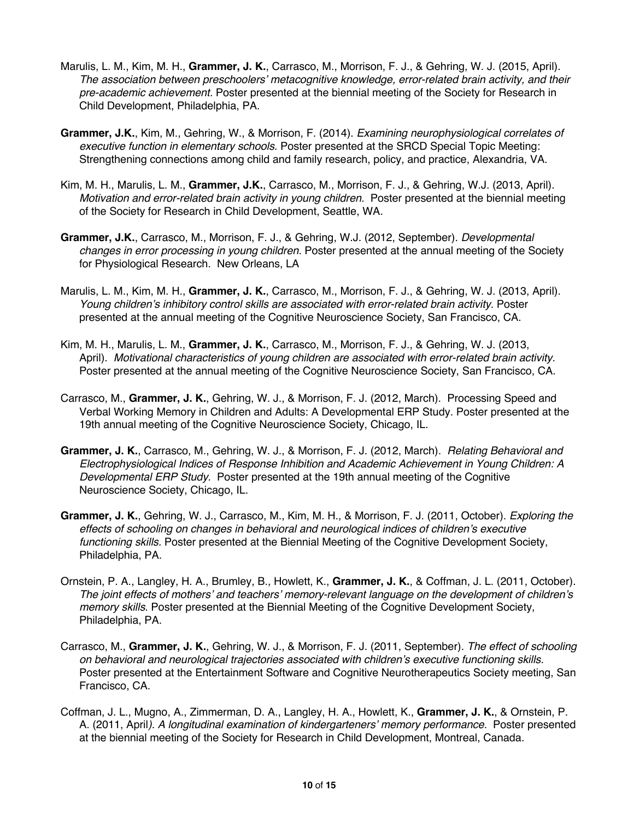- Marulis, L. M., Kim, M. H., **Grammer, J. K.**, Carrasco, M., Morrison, F. J., & Gehring, W. J. (2015, April). *The association between preschoolers' metacognitive knowledge, error-related brain activity, and their pre-academic achievement.* Poster presented at the biennial meeting of the Society for Research in Child Development, Philadelphia, PA*.*
- **Grammer, J.K.**, Kim, M., Gehring, W., & Morrison, F. (2014). *Examining neurophysiological correlates of executive function in elementary schools.* Poster presented at the SRCD Special Topic Meeting: Strengthening connections among child and family research, policy, and practice, Alexandria, VA.
- Kim, M. H., Marulis, L. M., **Grammer, J.K.**, Carrasco, M., Morrison, F. J., & Gehring, W.J. (2013, April). *Motivation and error-related brain activity in young children.* Poster presented at the biennial meeting of the Society for Research in Child Development, Seattle, WA*.*
- **Grammer, J.K.**, Carrasco, M., Morrison, F. J., & Gehring, W.J. (2012, September). *Developmental changes in error processing in young children.* Poster presented at the annual meeting of the Society for Physiological Research. New Orleans, LA
- Marulis, L. M., Kim, M. H., **Grammer, J. K.**, Carrasco, M., Morrison, F. J., & Gehring, W. J. (2013, April). *Young children's inhibitory control skills are associated with error-related brain activity.* Poster presented at the annual meeting of the Cognitive Neuroscience Society, San Francisco, CA.
- Kim, M. H., Marulis, L. M., **Grammer, J. K.**, Carrasco, M., Morrison, F. J., & Gehring, W. J. (2013, April). *Motivational characteristics of young children are associated with error-related brain activity.* Poster presented at the annual meeting of the Cognitive Neuroscience Society, San Francisco, CA.
- Carrasco, M., **Grammer, J. K.**, Gehring, W. J., & Morrison, F. J. (2012, March). Processing Speed and Verbal Working Memory in Children and Adults: A Developmental ERP Study. Poster presented at the 19th annual meeting of the Cognitive Neuroscience Society, Chicago, IL.
- **Grammer, J. K.**, Carrasco, M., Gehring, W. J., & Morrison, F. J. (2012, March). *Relating Behavioral and Electrophysiological Indices of Response Inhibition and Academic Achievement in Young Children: A Developmental ERP Study.* Poster presented at the 19th annual meeting of the Cognitive Neuroscience Society, Chicago, IL.
- **Grammer, J. K.**, Gehring, W. J., Carrasco, M., Kim, M. H., & Morrison, F. J. (2011, October). *Exploring the effects of schooling on changes in behavioral and neurological indices of children's executive functioning skills.* Poster presented at the Biennial Meeting of the Cognitive Development Society, Philadelphia, PA.
- Ornstein, P. A., Langley, H. A., Brumley, B., Howlett, K., **Grammer, J. K.**, & Coffman, J. L. (2011, October). *The joint effects of mothers' and teachers' memory-relevant language on the development of children's memory skills*. Poster presented at the Biennial Meeting of the Cognitive Development Society, Philadelphia, PA.
- Carrasco, M., **Grammer, J. K.**, Gehring, W. J., & Morrison, F. J. (2011, September). *The effect of schooling on behavioral and neurological trajectories associated with children's executive functioning skills.* Poster presented at the Entertainment Software and Cognitive Neurotherapeutics Society meeting, San Francisco, CA.
- Coffman, J. L., Mugno, A., Zimmerman, D. A., Langley, H. A., Howlett, K., **Grammer, J. K.**, & Ornstein, P. A. (2011, April*). A longitudinal examination of kindergarteners' memory performance.* Poster presented at the biennial meeting of the Society for Research in Child Development, Montreal, Canada.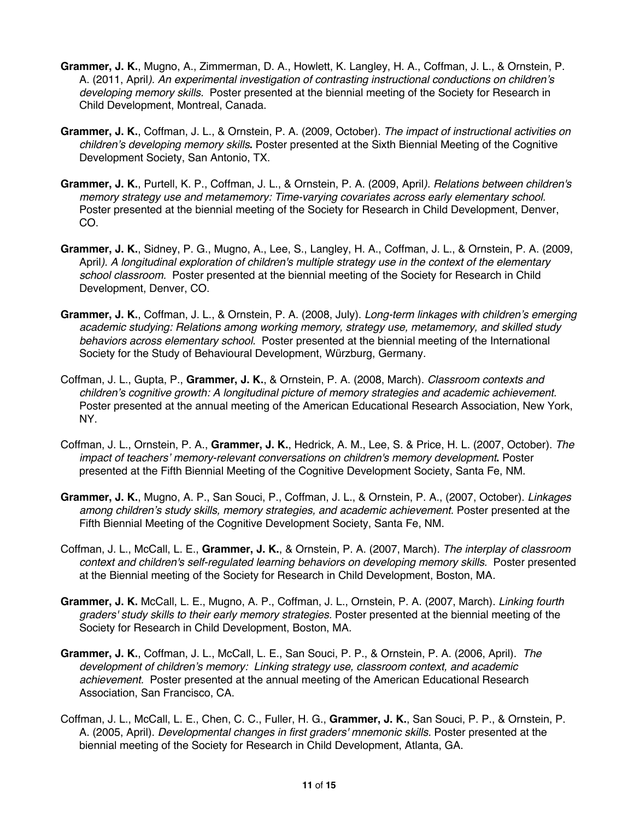- **Grammer, J. K.**, Mugno, A., Zimmerman, D. A., Howlett, K. Langley, H. A., Coffman, J. L., & Ornstein, P. A. (2011, April*). An experimental investigation of contrasting instructional conductions on children's developing memory skills.* Poster presented at the biennial meeting of the Society for Research in Child Development, Montreal, Canada.
- **Grammer, J. K.**, Coffman, J. L., & Ornstein, P. A. (2009, October). *The impact of instructional activities on children's developing memory skills***.** Poster presented at the Sixth Biennial Meeting of the Cognitive Development Society, San Antonio, TX.
- **Grammer, J. K.**, Purtell, K. P., Coffman, J. L., & Ornstein, P. A. (2009, April*). Relations between children's memory strategy use and metamemory: Time-varying covariates across early elementary school.*  Poster presented at the biennial meeting of the Society for Research in Child Development, Denver, CO.
- **Grammer, J. K.**, Sidney, P. G., Mugno, A., Lee, S., Langley, H. A., Coffman, J. L., & Ornstein, P. A. (2009, April*). A longitudinal exploration of children's multiple strategy use in the context of the elementary school classroom.* Poster presented at the biennial meeting of the Society for Research in Child Development, Denver, CO.
- **Grammer, J. K.**, Coffman, J. L., & Ornstein, P. A. (2008, July). *Long-term linkages with children's emerging academic studying: Relations among working memory, strategy use, metamemory, and skilled study behaviors across elementary school.* Poster presented at the biennial meeting of the International Society for the Study of Behavioural Development, Würzburg, Germany.
- Coffman, J. L., Gupta, P., **Grammer, J. K.**, & Ornstein, P. A. (2008, March). *Classroom contexts and children's cognitive growth: A longitudinal picture of memory strategies and academic achievement.*  Poster presented at the annual meeting of the American Educational Research Association, New York, NY.
- Coffman, J. L., Ornstein, P. A., **Grammer, J. K.**, Hedrick, A. M., Lee, S. & Price, H. L. (2007, October). *The impact of teachers' memory-relevant conversations on children's memory development***.** Poster presented at the Fifth Biennial Meeting of the Cognitive Development Society, Santa Fe, NM.
- **Grammer, J. K.**, Mugno, A. P., San Souci, P., Coffman, J. L., & Ornstein, P. A., (2007, October). *Linkages*  among children's study skills, memory strategies, and academic achievement. Poster presented at the Fifth Biennial Meeting of the Cognitive Development Society, Santa Fe, NM.
- Coffman, J. L., McCall, L. E., **Grammer, J. K.**, & Ornstein, P. A. (2007, March). *The interplay of classroom context and children's self-regulated learning behaviors on developing memory skills.* Poster presented at the Biennial meeting of the Society for Research in Child Development, Boston, MA*.*
- **Grammer, J. K.** McCall, L. E., Mugno, A. P., Coffman, J. L., Ornstein, P. A. (2007, March). *Linking fourth graders' study skills to their early memory strategies.* Poster presented at the biennial meeting of the Society for Research in Child Development, Boston, MA*.*
- **Grammer, J. K.**, Coffman, J. L., McCall, L. E., San Souci, P. P., & Ornstein, P. A. (2006, April). *The development of children's memory: Linking strategy use, classroom context, and academic achievement.* Poster presented at the annual meeting of the American Educational Research Association, San Francisco, CA.
- Coffman, J. L., McCall, L. E., Chen, C. C., Fuller, H. G., **Grammer, J. K.**, San Souci, P. P., & Ornstein, P. A. (2005, April). *Developmental changes in first graders' mnemonic skills.* Poster presented at the biennial meeting of the Society for Research in Child Development, Atlanta, GA.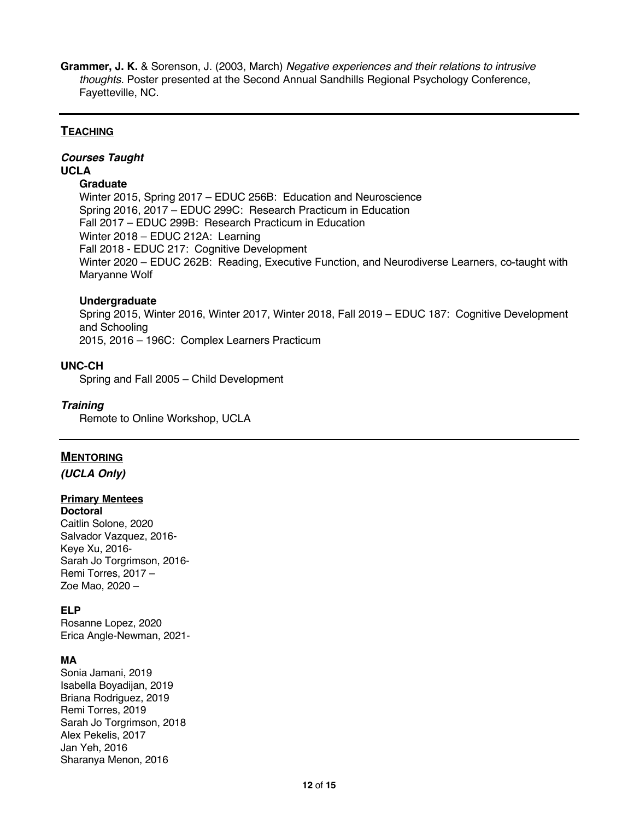**Grammer, J. K.** & Sorenson, J. (2003, March) *Negative experiences and their relations to intrusive thoughts.* Poster presented at the Second Annual Sandhills Regional Psychology Conference, Fayetteville, NC.

# **TEACHING**

# *Courses Taught* **UCLA**

#### **Graduate**

Winter 2015, Spring 2017 – EDUC 256B: Education and Neuroscience Spring 2016, 2017 – EDUC 299C: Research Practicum in Education Fall 2017 – EDUC 299B: Research Practicum in Education Winter 2018 – EDUC 212A: Learning Fall 2018 - EDUC 217: Cognitive Development Winter 2020 – EDUC 262B: Reading, Executive Function, and Neurodiverse Learners, co-taught with Maryanne Wolf

#### **Undergraduate**

Spring 2015, Winter 2016, Winter 2017, Winter 2018, Fall 2019 – EDUC 187: Cognitive Development and Schooling 2015, 2016 – 196C: Complex Learners Practicum

## **UNC-CH**

Spring and Fall 2005 – Child Development

#### *Training*

Remote to Online Workshop, UCLA

## **MENTORING**

*(UCLA Only)*

# **Primary Mentees**

**Doctoral**  Caitlin Solone, 2020 Salvador Vazquez, 2016- Keye Xu, 2016- Sarah Jo Torgrimson, 2016- Remi Torres, 2017 – Zoe Mao, 2020 –

#### **ELP**

Rosanne Lopez, 2020 Erica Angle-Newman, 2021-

## **MA**

Sonia Jamani, 2019 Isabella Boyadijan, 2019 Briana Rodriguez, 2019 Remi Torres, 2019 Sarah Jo Torgrimson, 2018 Alex Pekelis, 2017 Jan Yeh, 2016 Sharanya Menon, 2016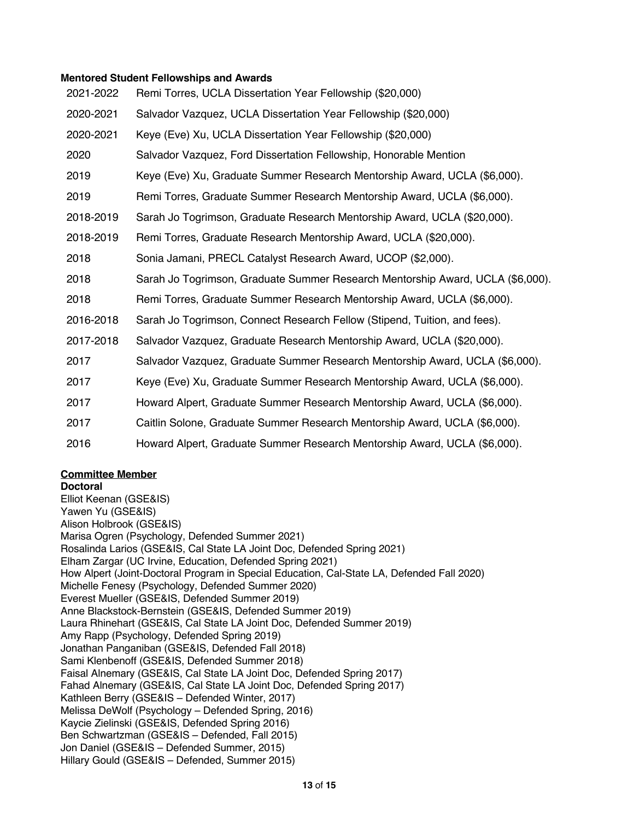#### **Mentored Student Fellowships and Awards**

| 2021-2022 | Remi Torres, UCLA Dissertation Year Fellowship (\$20,000)                      |
|-----------|--------------------------------------------------------------------------------|
| 2020-2021 | Salvador Vazquez, UCLA Dissertation Year Fellowship (\$20,000)                 |
| 2020-2021 | Keye (Eve) Xu, UCLA Dissertation Year Fellowship (\$20,000)                    |
| 2020      | Salvador Vazquez, Ford Dissertation Fellowship, Honorable Mention              |
| 2019      | Keye (Eve) Xu, Graduate Summer Research Mentorship Award, UCLA (\$6,000).      |
| 2019      | Remi Torres, Graduate Summer Research Mentorship Award, UCLA (\$6,000).        |
| 2018-2019 | Sarah Jo Togrimson, Graduate Research Mentorship Award, UCLA (\$20,000).       |
| 2018-2019 | Remi Torres, Graduate Research Mentorship Award, UCLA (\$20,000).              |
| 2018      | Sonia Jamani, PRECL Catalyst Research Award, UCOP (\$2,000).                   |
| 2018      | Sarah Jo Togrimson, Graduate Summer Research Mentorship Award, UCLA (\$6,000). |
| 2018      | Remi Torres, Graduate Summer Research Mentorship Award, UCLA (\$6,000).        |
| 2016-2018 | Sarah Jo Togrimson, Connect Research Fellow (Stipend, Tuition, and fees).      |
| 2017-2018 | Salvador Vazquez, Graduate Research Mentorship Award, UCLA (\$20,000).         |
| 2017      | Salvador Vazquez, Graduate Summer Research Mentorship Award, UCLA (\$6,000).   |
| 2017      | Keye (Eve) Xu, Graduate Summer Research Mentorship Award, UCLA (\$6,000).      |
| 2017      | Howard Alpert, Graduate Summer Research Mentorship Award, UCLA (\$6,000).      |
| 2017      | Caitlin Solone, Graduate Summer Research Mentorship Award, UCLA (\$6,000).     |
| 2016      | Howard Alpert, Graduate Summer Research Mentorship Award, UCLA (\$6,000).      |

## **Committee Member**

#### **Doctoral**

Elliot Keenan (GSE&IS) Yawen Yu (GSE&IS) Alison Holbrook (GSE&IS) Marisa Ogren (Psychology, Defended Summer 2021) Rosalinda Larios (GSE&IS, Cal State LA Joint Doc, Defended Spring 2021) Elham Zargar (UC Irvine, Education, Defended Spring 2021) How Alpert (Joint-Doctoral Program in Special Education, Cal-State LA, Defended Fall 2020) Michelle Fenesy (Psychology, Defended Summer 2020) Everest Mueller (GSE&IS, Defended Summer 2019) Anne Blackstock-Bernstein (GSE&IS, Defended Summer 2019) Laura Rhinehart (GSE&IS, Cal State LA Joint Doc, Defended Summer 2019) Amy Rapp (Psychology, Defended Spring 2019) Jonathan Panganiban (GSE&IS, Defended Fall 2018) Sami Klenbenoff (GSE&IS, Defended Summer 2018) Faisal Alnemary (GSE&IS, Cal State LA Joint Doc, Defended Spring 2017) Fahad Alnemary (GSE&IS, Cal State LA Joint Doc, Defended Spring 2017) Kathleen Berry (GSE&IS – Defended Winter, 2017) Melissa DeWolf (Psychology – Defended Spring, 2016) Kaycie Zielinski (GSE&IS, Defended Spring 2016) Ben Schwartzman (GSE&IS – Defended, Fall 2015) Jon Daniel (GSE&IS – Defended Summer, 2015) Hillary Gould (GSE&IS – Defended, Summer 2015)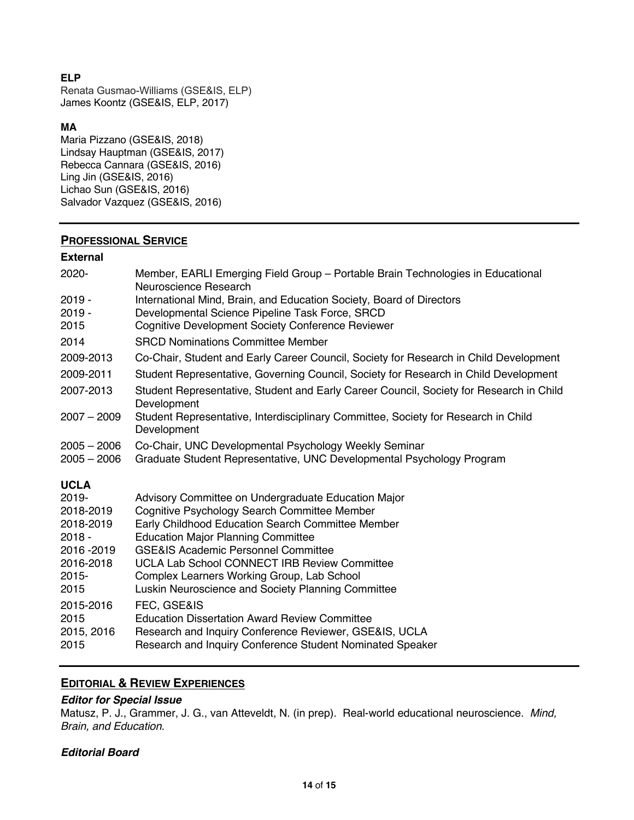# **ELP**

Renata Gusmao-Williams (GSE&IS, ELP) James Koontz (GSE&IS, ELP, 2017)

# **MA**

Maria Pizzano (GSE&IS, 2018) Lindsay Hauptman (GSE&IS, 2017) Rebecca Cannara (GSE&IS, 2016) Ling Jin (GSE&IS, 2016) Lichao Sun (GSE&IS, 2016) Salvador Vazquez (GSE&IS, 2016)

# **PROFESSIONAL SERVICE**

# **External**

| 2020-         | Member, EARLI Emerging Field Group - Portable Brain Technologies in Educational<br>Neuroscience Research |
|---------------|----------------------------------------------------------------------------------------------------------|
| $2019 -$      | International Mind, Brain, and Education Society, Board of Directors                                     |
| $2019 -$      | Developmental Science Pipeline Task Force, SRCD                                                          |
| 2015          | <b>Cognitive Development Society Conference Reviewer</b>                                                 |
| 2014          | <b>SRCD Nominations Committee Member</b>                                                                 |
| 2009-2013     | Co-Chair, Student and Early Career Council, Society for Research in Child Development                    |
| 2009-2011     | Student Representative, Governing Council, Society for Research in Child Development                     |
| 2007-2013     | Student Representative, Student and Early Career Council, Society for Research in Child<br>Development   |
| $2007 - 2009$ | Student Representative, Interdisciplinary Committee, Society for Research in Child<br>Development        |
| $2005 - 2006$ | Co-Chair, UNC Developmental Psychology Weekly Seminar                                                    |
| $2005 - 2006$ | Graduate Student Representative, UNC Developmental Psychology Program                                    |
| <b>UCLA</b>   |                                                                                                          |
| $2019 -$      | Advisory Committee on Undergraduate Education Major                                                      |
| 2018-2019     | Cognitive Psychology Search Committee Member                                                             |
| 2018-2019     | Early Childhood Education Search Committee Member                                                        |
| $2018 -$      | <b>Education Major Planning Committee</b>                                                                |
| 2016 - 2019   | <b>GSE&amp;IS Academic Personnel Committee</b>                                                           |
| 2016-2018     | <b>UCLA Lab School CONNECT IRB Review Committee</b>                                                      |
| $2015 -$      | Complex Learners Working Group, Lab School                                                               |
| 2015          | Luskin Neuroscience and Society Planning Committee                                                       |
| 2015-2016     | FEC, GSE&IS                                                                                              |
| 2015          | <b>Education Dissertation Award Review Committee</b>                                                     |
| 2015, 2016    | Research and Inquiry Conference Reviewer, GSE&IS, UCLA                                                   |
| 2015          | Research and Inquiry Conference Student Nominated Speaker                                                |

# **EDITORIAL & REVIEW EXPERIENCES**

## *Editor for Special Issue*

Matusz, P. J., Grammer, J. G., van Atteveldt, N. (in prep). Real-world educational neuroscience. *Mind, Brain, and Education*.

## *Editorial Board*